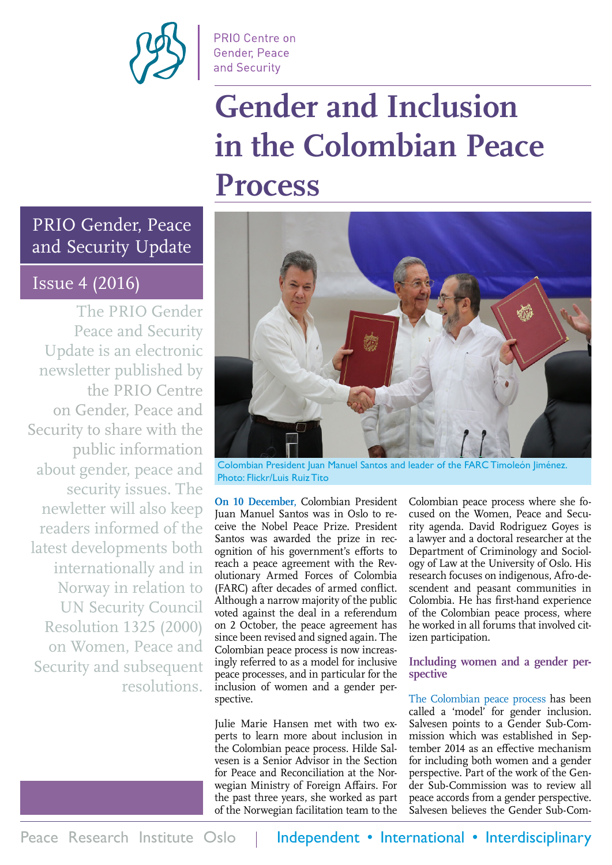

**PRIO Centre on** Gender, Peace and Security

# **Gender and Inclusion in the Colombian Peace Process**

#### PRIO Gender, Peace and Security Update

#### Issue 4 (2016)

The PRIO Gender Peace and Security Update is an electronic newsletter published by the PRIO Centre on Gender, Peace and Security to share with the public information about gender, peace and security issues. The newletter will also keep readers informed of the latest developments both internationally and in Norway in relation to UN Security Council Resolution 1325 (2000) on Women, Peace and Security and subsequent resolutions.



Colombian President Juan Manuel Santos and leader of the FARC Timoleón Jiménez. Photo: Flickr/Luis Ruiz Tito

**On 10 December,** Colombian President Juan Manuel Santos was in Oslo to receive the Nobel Peace Prize. President Santos was awarded the prize in recognition of his government's efforts to reach a peace agreement with the Revolutionary Armed Forces of Colombia (FARC) after decades of armed conflict. Although a narrow majority of the public voted against the deal in a referendum on 2 October, the peace agreement has since been revised and signed again. The Colombian peace process is now increasingly referred to as a model for inclusive peace processes, and in particular for the inclusion of women and a gender perspective.

Julie Marie Hansen met with two experts to learn more about inclusion in the Colombian peace process. Hilde Salvesen is a Senior Advisor in the Section for Peace and Reconciliation at the Norwegian Ministry of Foreign Affairs. For the past three years, she worked as part of the Norwegian facilitation team to the

Colombian peace process where she focused on the Women, Peace and Security agenda. David Rodriguez Goyes is a lawyer and a doctoral researcher at the Department of Criminology and Sociology of Law at the University of Oslo. His research focuses on indigenous, Afro-descendent and peasant communities in Colombia. He has first-hand experience of the Colombian peace process, where he worked in all forums that involved citizen participation.

#### **Including women and a gender perspective**

The Colombian peace process has been called a 'model' for gender inclusion. Salvesen points to a Gender Sub-Commission which was established in September 2014 as an effective mechanism for including both women and a gender perspective. Part of the work of the Gender Sub-Commission was to review all peace accords from a gender perspective. Salvesen believes the Gender Sub-Com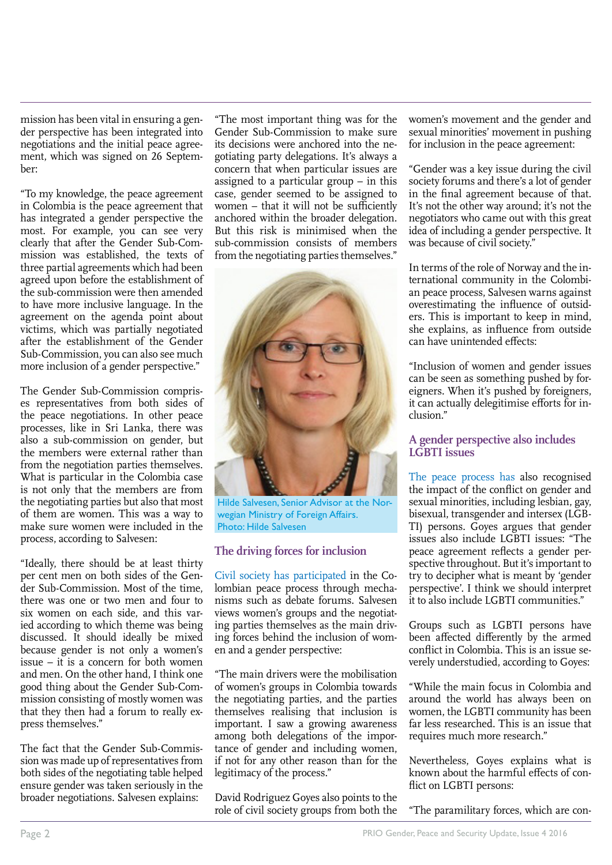mission has been vital in ensuring a gender perspective has been integrated into negotiations and the initial peace agreement, which was signed on 26 September:

"To my knowledge, the peace agreement in Colombia is the peace agreement that has integrated a gender perspective the most. For example, you can see very clearly that after the Gender Sub-Commission was established, the texts of three partial agreements which had been agreed upon before the establishment of the sub-commission were then amended to have more inclusive language. In the agreement on the agenda point about victims, which was partially negotiated after the establishment of the Gender Sub-Commission, you can also see much more inclusion of a gender perspective."

The Gender Sub-Commission comprises representatives from both sides of the peace negotiations. In other peace processes, like in Sri Lanka, there was also a sub-commission on gender, but the members were external rather than from the negotiation parties themselves. What is particular in the Colombia case is not only that the members are from the negotiating parties but also that most of them are women. This was a way to make sure women were included in the process, according to Salvesen:

"Ideally, there should be at least thirty per cent men on both sides of the Gender Sub-Commission. Most of the time, there was one or two men and four to six women on each side, and this varied according to which theme was being discussed. It should ideally be mixed because gender is not only a women's issue – it is a concern for both women and men. On the other hand, I think one good thing about the Gender Sub-Commission consisting of mostly women was that they then had a forum to really express themselves."

The fact that the Gender Sub-Commission was made up of representatives from both sides of the negotiating table helped ensure gender was taken seriously in the broader negotiations. Salvesen explains:

"The most important thing was for the Gender Sub-Commission to make sure its decisions were anchored into the negotiating party delegations. It's always a concern that when particular issues are assigned to a particular group – in this case, gender seemed to be assigned to women – that it will not be sufficiently anchored within the broader delegation. But this risk is minimised when the sub-commission consists of members from the negotiating parties themselves."



Hilde Salvesen, Senior Advisor at the Norwegian Ministry of Foreign Affairs. Photo: Hilde Salvesen

#### **The driving forces for inclusion**

Civil society has participated in the Colombian peace process through mechanisms such as debate forums. Salvesen views women's groups and the negotiating parties themselves as the main driving forces behind the inclusion of women and a gender perspective:

"The main drivers were the mobilisation of women's groups in Colombia towards the negotiating parties, and the parties themselves realising that inclusion is important. I saw a growing awareness among both delegations of the importance of gender and including women, if not for any other reason than for the legitimacy of the process."

David Rodriguez Goyes also points to the role of civil society groups from both the women's movement and the gender and sexual minorities' movement in pushing for inclusion in the peace agreement:

"Gender was a key issue during the civil society forums and there's a lot of gender in the final agreement because of that. It's not the other way around; it's not the negotiators who came out with this great idea of including a gender perspective. It was because of civil society."

In terms of the role of Norway and the international community in the Colombian peace process, Salvesen warns against overestimating the influence of outsiders. This is important to keep in mind, she explains, as influence from outside can have unintended effects:

"Inclusion of women and gender issues can be seen as something pushed by foreigners. When it's pushed by foreigners, it can actually delegitimise efforts for inclusion."

#### **A gender perspective also includes LGBTI issues**

The peace process has also recognised the impact of the conflict on gender and sexual minorities, including lesbian, gay, bisexual, transgender and intersex (LGB-TI) persons. Goyes argues that gender issues also include LGBTI issues: "The peace agreement reflects a gender perspective throughout. But it's important to try to decipher what is meant by 'gender perspective'. I think we should interpret it to also include LGBTI communities."

Groups such as LGBTI persons have been affected differently by the armed conflict in Colombia. This is an issue severely understudied, according to Goyes:

"While the main focus in Colombia and around the world has always been on women, the LGBTI community has been far less researched. This is an issue that requires much more research."

Nevertheless, Goyes explains what is known about the harmful effects of conflict on LGBTI persons:

"The paramilitary forces, which are con-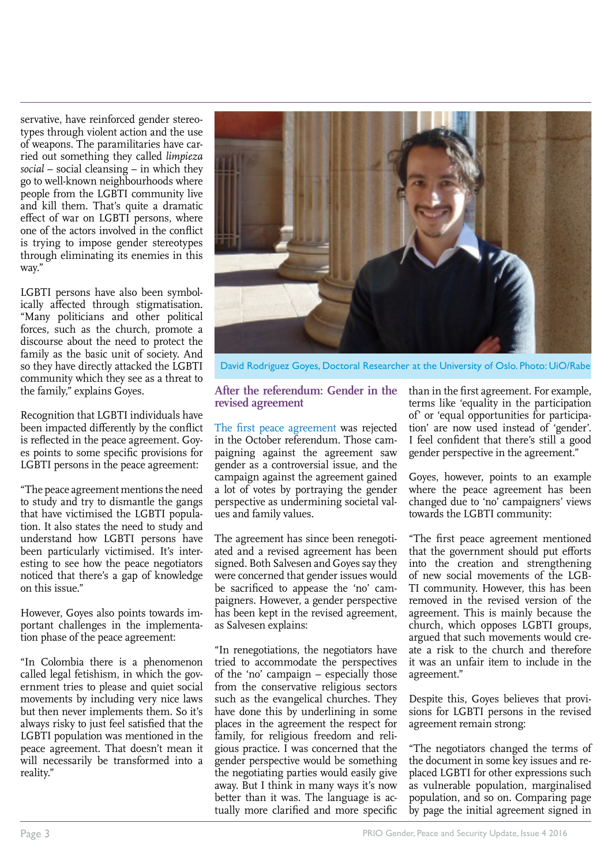servative, have reinforced gender stereotypes through violent action and the use of weapons. The paramilitaries have carried out something they called *limpieza social* – social cleansing – in which they go to well-known neighbourhoods where people from the LGBTI community live and kill them. That's quite a dramatic effect of war on LGBTI persons, where one of the actors involved in the conflict is trying to impose gender stereotypes through eliminating its enemies in this way."

LGBTI persons have also been symbolically affected through stigmatisation. "Many politicians and other political forces, such as the church, promote a discourse about the need to protect the family as the basic unit of society. And so they have directly attacked the LGBTI community which they see as a threat to the family," explains Goyes.

Recognition that LGBTI individuals have been impacted differently by the conflict is reflected in the peace agreement. Goyes points to some specific provisions for LGBTI persons in the peace agreement:

"The peace agreement mentions the need to study and try to dismantle the gangs that have victimised the LGBTI population. It also states the need to study and understand how LGBTI persons have been particularly victimised. It's interesting to see how the peace negotiators noticed that there's a gap of knowledge on this issue."

However, Goyes also points towards important challenges in the implementation phase of the peace agreement:

"In Colombia there is a phenomenon called legal fetishism, in which the government tries to please and quiet social movements by including very nice laws but then never implements them. So it's always risky to just feel satisfied that the LGBTI population was mentioned in the peace agreement. That doesn't mean it will necessarily be transformed into a reality."



David Rodriguez Goyes, Doctoral Researcher at the University of Oslo. Photo: UiO/Rabe

#### **After the referendum: Gender in the revised agreement**

The first peace agreement was rejected in the October referendum. Those campaigning against the agreement saw gender as a controversial issue, and the campaign against the agreement gained a lot of votes by portraying the gender perspective as undermining societal values and family values.

The agreement has since been renegotiated and a revised agreement has been signed. Both Salvesen and Goyes say they were concerned that gender issues would be sacrificed to appease the 'no' campaigners. However, a gender perspective has been kept in the revised agreement, as Salvesen explains:

"In renegotiations, the negotiators have tried to accommodate the perspectives of the 'no' campaign – especially those from the conservative religious sectors such as the evangelical churches. They have done this by underlining in some places in the agreement the respect for family, for religious freedom and religious practice. I was concerned that the gender perspective would be something the negotiating parties would easily give away. But I think in many ways it's now better than it was. The language is actually more clarified and more specific than in the first agreement. For example, terms like 'equality in the participation of' or 'equal opportunities for participation' are now used instead of 'gender'. I feel confident that there's still a good gender perspective in the agreement."

Goyes, however, points to an example where the peace agreement has been changed due to 'no' campaigners' views towards the LGBTI community:

"The first peace agreement mentioned that the government should put efforts into the creation and strengthening of new social movements of the LGB-TI community. However, this has been removed in the revised version of the agreement. This is mainly because the church, which opposes LGBTI groups, argued that such movements would create a risk to the church and therefore it was an unfair item to include in the agreement."

Despite this, Goyes believes that provisions for LGBTI persons in the revised agreement remain strong:

"The negotiators changed the terms of the document in some key issues and replaced LGBTI for other expressions such as vulnerable population, marginalised population, and so on. Comparing page by page the initial agreement signed in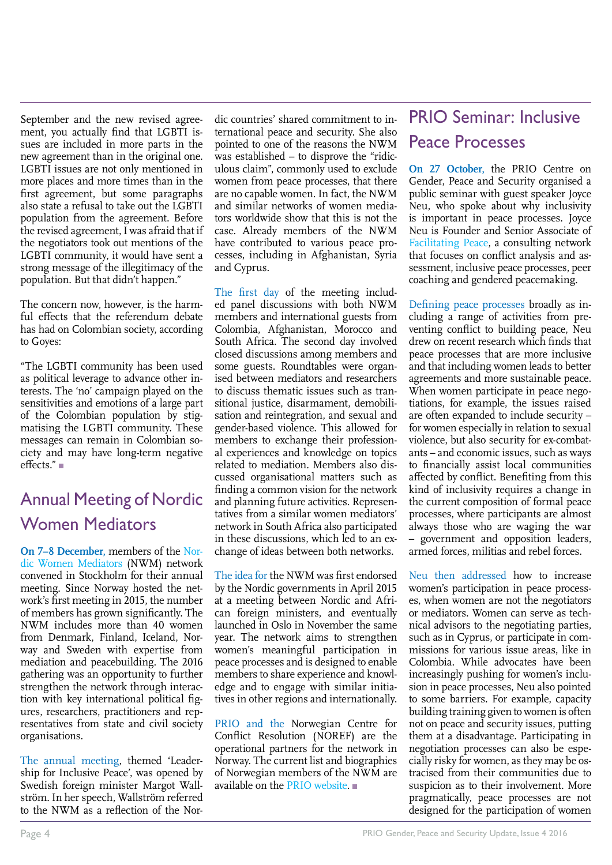September and the new revised agreement, you actually find that LGBTI issues are included in more parts in the new agreement than in the original one. LGBTI issues are not only mentioned in more places and more times than in the first agreement, but some paragraphs also state a refusal to take out the LGBTI population from the agreement. Before the revised agreement, I was afraid that if the negotiators took out mentions of the LGBTI community, it would have sent a strong message of the illegitimacy of the population. But that didn't happen."

The concern now, however, is the harmful effects that the referendum debate has had on Colombian society, according to Goyes:

"The LGBTI community has been used as political leverage to advance other interests. The 'no' campaign played on the sensitivities and emotions of a large part of the Colombian population by stigmatising the LGBTI community. These messages can remain in Colombian society and may have long-term negative effects."

### Annual Meeting of Nordic Women Mediators

**On 7–8 December,** members of the [Nor](http://On 7–8 December, members of the Nordic Women Mediators (NWM) network convened in Stockholm for their annual meeting. Since Norway hosted the network’s first meeting in 2015, the number of members has grown significantly. The NWM includes more than 40 women from Denmark, Finland, Iceland, Norway and Sweden with professional mediation expertise and political experience. The 2016 gathering was an opportunity to further strengthen the network through interaction with key international political figures, researchers, practitioners and representatives from state and civil society organisations. 
The annual meeting, themed ‘Leadership for Inclusive Peace’, was opened by Swedish foreign minister Margot Wallström. In her speech, Wallström referred to the NWM as a reflection of the Nordic countries’ shared commitment to international peace and security. She also pointed to one of the reasons the NWM was established – to disprove the “ridiculous claim”, commonly used to exclude women from peace processes, that there are no capable women. In fact, the NWM and similar networks of women mediators worldwide show that this is not the case. Already members of the NWM have contributed to various peace processes, including in Afghanistan, Syria and Cyprus.
The first day of the meeting included panel discussions with both NWM members and international guests from Colombia, Afghanistan, Morocco and South Africa. The second day involved closed discussions among members and some guests. Roundtables were organised between mediators and researchers to discuss thematic issues such as transitional justice, disarmament, demobilisation and reintegration, and sexual and gender-based violence. This allowed for members to exchange their professional experiences and knowledge on topics related to mediation. Members also discussed organisational matters such as finding a common vision for the network and planning future activities. Representatives from a similar women mediators’ network in South Africa also participated in these discussions, which led to an exchange of ideas between both networks. 

The idea for the NWM was first endorsed by the Nordic governments in April 2015 at a meeting between Nordic and African foreign ministers, and eventually launched in Oslo in November the same year. The network aims to strengthen women’s meaningful participation in peace processes and is designed to enable members to share experience and knowledge and to engage with similar initiatives in other regions and internationally. 

PRIO and the Norwegian Centre for Conflict Resolution (NOREF) are the operational partners for the network in Norway. The current list and biographies of Norwegian members of the NWM are available on the PRIO website.
)[dic Women Mediators](http://On 7–8 December, members of the Nordic Women Mediators (NWM) network convened in Stockholm for their annual meeting. Since Norway hosted the network’s first meeting in 2015, the number of members has grown significantly. The NWM includes more than 40 women from Denmark, Finland, Iceland, Norway and Sweden with professional mediation expertise and political experience. The 2016 gathering was an opportunity to further strengthen the network through interaction with key international political figures, researchers, practitioners and representatives from state and civil society organisations. 
The annual meeting, themed ‘Leadership for Inclusive Peace’, was opened by Swedish foreign minister Margot Wallström. In her speech, Wallström referred to the NWM as a reflection of the Nordic countries’ shared commitment to international peace and security. She also pointed to one of the reasons the NWM was established – to disprove the “ridiculous claim”, commonly used to exclude women from peace processes, that there are no capable women. In fact, the NWM and similar networks of women mediators worldwide show that this is not the case. Already members of the NWM have contributed to various peace processes, including in Afghanistan, Syria and Cyprus.
The first day of the meeting included panel discussions with both NWM members and international guests from Colombia, Afghanistan, Morocco and South Africa. The second day involved closed discussions among members and some guests. Roundtables were organised between mediators and researchers to discuss thematic issues such as transitional justice, disarmament, demobilisation and reintegration, and sexual and gender-based violence. This allowed for members to exchange their professional experiences and knowledge on topics related to mediation. Members also discussed organisational matters such as finding a common vision for the network and planning future activities. Representatives from a similar women mediators’ network in South Africa also participated in these discussions, which led to an exchange of ideas between both networks. 

The idea for the NWM was first endorsed by the Nordic governments in April 2015 at a meeting between Nordic and African foreign ministers, and eventually launched in Oslo in November the same year. The network aims to strengthen women’s meaningful participation in peace processes and is designed to enable members to share experience and knowledge and to engage with similar initiatives in other regions and internationally. 

PRIO and the Norwegian Centre for Conflict Resolution (NOREF) are the operational partners for the network in Norway. The current list and biographies of Norwegian members of the NWM are available on the PRIO website.
) (NWM) network convened in Stockholm for their annual meeting. Since Norway hosted the network's first meeting in 2015, the number of members has grown significantly. The NWM includes more than 40 women from Denmark, Finland, Iceland, Norway and Sweden with expertise from mediation and peacebuilding. The 2016 gathering was an opportunity to further strengthen the network through interaction with key international political figures, researchers, practitioners and representatives from state and civil society organisations.

The annual meeting, themed 'Leadership for Inclusive Peace', was opened by Swedish foreign minister Margot Wallström. In her speech, Wallström referred to the NWM as a reflection of the Nordic countries' shared commitment to international peace and security. She also pointed to one of the reasons the NWM was established – to disprove the "ridiculous claim", commonly used to exclude women from peace processes, that there are no capable women. In fact, the NWM and similar networks of women mediators worldwide show that this is not the case. Already members of the NWM have contributed to various peace processes, including in Afghanistan, Syria and Cyprus.

The first day of the meeting included panel discussions with both NWM members and international guests from Colombia, Afghanistan, Morocco and South Africa. The second day involved closed discussions among members and some guests. Roundtables were organised between mediators and researchers to discuss thematic issues such as transitional justice, disarmament, demobilisation and reintegration, and sexual and gender-based violence. This allowed for members to exchange their professional experiences and knowledge on topics related to mediation. Members also discussed organisational matters such as finding a common vision for the network and planning future activities. Representatives from a similar women mediators' network in South Africa also participated in these discussions, which led to an exchange of ideas between both networks.

The idea for the NWM was first endorsed by the Nordic governments in April 2015 at a meeting between Nordic and African foreign ministers, and eventually launched in Oslo in November the same year. The network aims to strengthen women's meaningful participation in peace processes and is designed to enable members to share experience and knowledge and to engage with similar initiatives in other regions and internationally.

PRIO and the Norwegian Centre for Conflict Resolution (NOREF) are the operational partners for the network in Norway. The current list and biographies of Norwegian members of the NWM are available on the [PRIO website.](https://www.prio.org/Projects/Extensions/NWM/Members/?xitem=1725&handler=Project)

### PRIO Seminar: Inclusive Peace Processes

**On 27 October,** the PRIO Centre on Gender, Peace and Security organised a public seminar with guest speaker Joyce Neu, who spoke about why inclusivity is important in peace processes. Joyce Neu is Founder and Senior Associate of [Facilitating Peace,](http://www.facilitatingpeace.org/) a consulting network that focuses on conflict analysis and assessment, inclusive peace processes, peer coaching and gendered peacemaking.

Defining peace processes broadly as including a range of activities from preventing conflict to building peace, Neu drew on recent research which finds that peace processes that are more inclusive and that including women leads to better agreements and more sustainable peace. When women participate in peace negotiations, for example, the issues raised are often expanded to include security – for women especially in relation to sexual violence, but also security for ex-combatants – and economic issues, such as ways to financially assist local communities affected by conflict. Benefiting from this kind of inclusivity requires a change in the current composition of formal peace processes, where participants are almost always those who are waging the war – government and opposition leaders, armed forces, militias and rebel forces.

Neu then addressed how to increase women's participation in peace processes, when women are not the negotiators or mediators. Women can serve as technical advisors to the negotiating parties, such as in Cyprus, or participate in commissions for various issue areas, like in Colombia. While advocates have been increasingly pushing for women's inclusion in peace processes, Neu also pointed to some barriers. For example, capacity building training given to women is often not on peace and security issues, putting them at a disadvantage. Participating in negotiation processes can also be especially risky for women, as they may be ostracised from their communities due to suspicion as to their involvement. More pragmatically, peace processes are not designed for the participation of women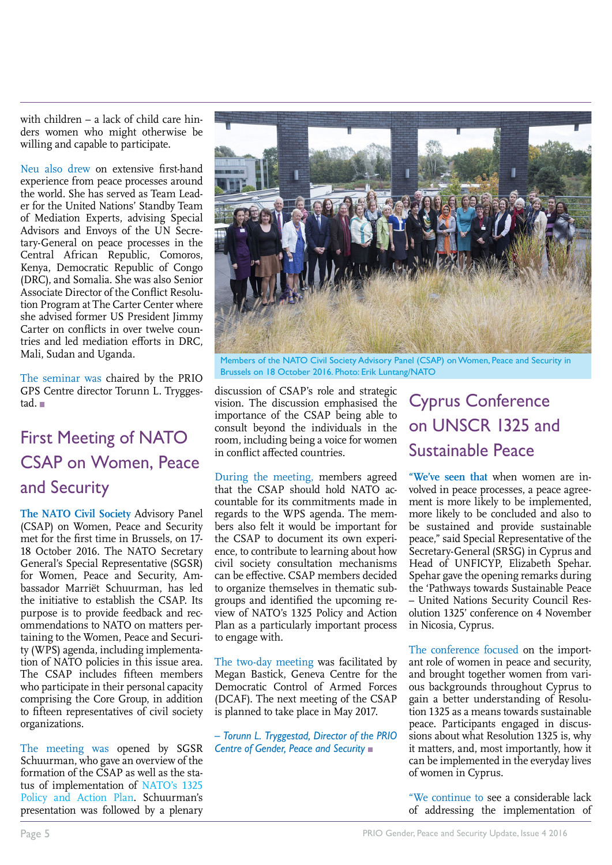with children – a lack of child care hinders women who might otherwise be willing and capable to participate.

Neu also drew on extensive first-hand experience from peace processes around the world. She has served as Team Leader for the United Nations' Standby Team of Mediation Experts, advising Special Advisors and Envoys of the UN Secretary-General on peace processes in the Central African Republic, Comoros, Kenya, Democratic Republic of Congo (DRC), and Somalia. She was also Senior Associate Director of the Conflict Resolution Program at The Carter Center where she advised former US President Jimmy Carter on conflicts in over twelve countries and led mediation efforts in DRC, Mali, Sudan and Uganda.

The seminar was chaired by the PRIO GPS Centre director Torunn L. Tryggestad.

### First Meeting of NATO CSAP on Women, Peace and Security

**The NATO Civil Society** Advisory Panel (CSAP) on Women, Peace and Security met for the first time in Brussels, on 17- 18 October 2016. The NATO Secretary General's Special Representative (SGSR) for Women, Peace and Security, Ambassador Marriët Schuurman, has led the initiative to establish the CSAP. Its purpose is to provide feedback and recommendations to NATO on matters pertaining to the Women, Peace and Security (WPS) agenda, including implementation of NATO policies in this issue area. The CSAP includes fifteen members who participate in their personal capacity comprising the Core Group, in addition to fifteen representatives of civil society organizations.

The meeting was opened by SGSR Schuurman, who gave an overview of the formation of the CSAP as well as the status of implementation of [NATO's 1325](http://www.nato.int/cps/en/natohq/official_texts_109830.htm?selectedLocale=en) [Policy and Action Plan.](http://www.nato.int/cps/en/natohq/official_texts_109830.htm?selectedLocale=en) Schuurman's presentation was followed by a plenary



Members of the NATO Civil Society Advisory Panel (CSAP) on Women, Peace and Security in Brussels on 18 October 2016. Photo: Erik Luntang/NATO

discussion of CSAP's role and strategic vision. The discussion emphasised the importance of the CSAP being able to consult beyond the individuals in the room, including being a voice for women in conflict affected countries.

During the meeting, members agreed that the CSAP should hold NATO accountable for its commitments made in regards to the WPS agenda. The members also felt it would be important for the CSAP to document its own experience, to contribute to learning about how civil society consultation mechanisms can be effective. CSAP members decided to organize themselves in thematic subgroups and identified the upcoming review of NATO's 1325 Policy and Action Plan as a particularly important process to engage with.

The two-day meeting was facilitated by Megan Bastick, Geneva Centre for the Democratic Control of Armed Forces (DCAF). The next meeting of the CSAP is planned to take place in May 2017.

*– Torunn L. Tryggestad, Director of the PRIO Centre of Gender, Peace and Security* 

### Cyprus Conference on UNSCR 1325 and Sustainable Peace

**"We've seen that** when women are involved in peace processes, a peace agreement is more likely to be implemented, more likely to be concluded and also to be sustained and provide sustainable peace," said Special Representative of the Secretary-General (SRSG) in Cyprus and Head of UNFICYP, Elizabeth Spehar. Spehar gave the opening remarks during the 'Pathways towards Sustainable Peace – United Nations Security Council Resolution 1325' conference on 4 November in Nicosia, Cyprus.

The conference focused on the important role of women in peace and security, and brought together women from various backgrounds throughout Cyprus to gain a better understanding of Resolution 1325 as a means towards sustainable peace. Participants engaged in discussions about what Resolution 1325 is, why it matters, and, most importantly, how it can be implemented in the everyday lives of women in Cyprus.

"We continue to see a considerable lack of addressing the implementation of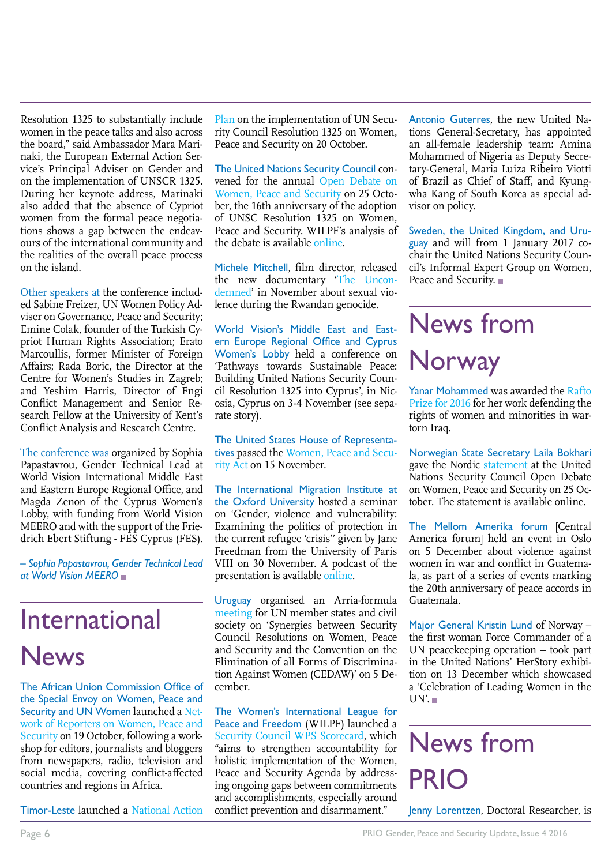Resolution 1325 to substantially include women in the peace talks and also across the board," said Ambassador Mara Marinaki, the European External Action Service's Principal Adviser on Gender and on the implementation of UNSCR 1325. During her keynote address, Marinaki also added that the absence of Cypriot women from the formal peace negotiations shows a gap between the endeavours of the international community and the realities of the overall peace process on the island.

Other speakers at the conference included Sabine Freizer, UN Women Policy Adviser on Governance, Peace and Security; Emine Colak, founder of the Turkish Cypriot Human Rights Association; Erato Marcoullis, former Minister of Foreign Affairs; Rada Boric, the Director at the Centre for Women's Studies in Zagreb; and Yeshim Harris, Director of Engi Conflict Management and Senior Research Fellow at the University of Kent's Conflict Analysis and Research Centre.

The conference was organized by Sophia Papastavrou, Gender Technical Lead at World Vision International Middle East and Eastern Europe Regional Office, and Magda Zenon of the Cyprus Women's Lobby, with funding from World Vision MEERO and with the support of the Friedrich Ebert Stiftung - FES Cyprus (FES).

*– Sophia Papastavrou, Gender Technical Lead at World Vision MEERO* 

### International News

The African Union Commission Office of the Special Envoy on Women, Peace and Security and UN Women launched a [Net](http://www.peaceau.org/en/article/au-commission-and-un-women-launch-a-network-of-reporters-on-women-peace-and-security)[work of Reporters on Women, Peace and](http://www.peaceau.org/en/article/au-commission-and-un-women-launch-a-network-of-reporters-on-women-peace-and-security) [Security](http://www.peaceau.org/en/article/au-commission-and-un-women-launch-a-network-of-reporters-on-women-peace-and-security) on 19 October, following a workshop for editors, journalists and bloggers from newspapers, radio, television and social media, covering conflict-affected countries and regions in Africa.

Timor-Leste launched a [National Action](http://asiapacific.unwomen.org/en/news-and-events/stories/2016/10/timor-leste-officially-launches-its-national-action-plan)

[Plan o](http://asiapacific.unwomen.org/en/news-and-events/stories/2016/10/timor-leste-officially-launches-its-national-action-plan)n the implementation of UN Security Council Resolution 1325 on Women, Peace and Security on 20 October.

The United Nations Security Council convened for the annual [Open Debate on](http://webtv.un.org/watch/women-and-peace-and-security-security-council-7793rd-meeting/5184703460001) [Women, Peace and Security](http://webtv.un.org/watch/women-and-peace-and-security-security-council-7793rd-meeting/5184703460001) on 25 October, the 16th anniversary of the adoption of UNSC Resolution 1325 on Women, Peace and Security. WILPF's analysis of the debate is available [online](http://www.peacewomen.org/security-council/security-council-open-debate-women-peace-and-security-october-2016).

Michele Mitchell, film director, released the new documentary ['The Uncon](http://www.theuncondemned.com/#the-film)[demned'](http://www.theuncondemned.com/#the-film) in November about sexual violence during the Rwandan genocide.

World Vision's Middle East and Eastern Europe Regional Office and Cyprus Women's Lobby held a conference on 'Pathways towards Sustainable Peace: Building United Nations Security Council Resolution 1325 into Cyprus', in Nicosia, Cyprus on 3-4 November (see separate story).

The United States House of Representatives passed the [Women, Peace and Secu](https://www.inclusivesecurity.org/us-house-passes-bipartisan-women-peace-security-act/  )[rity Act](https://www.inclusivesecurity.org/us-house-passes-bipartisan-women-peace-security-act/  ) on 15 November.

The International Migration Institute at the Oxford University hosted a seminar on 'Gender, violence and vulnerability: Examining the politics of protection in the current refugee 'crisis'' given by Jane Freedman from the University of Paris VIII on 30 November. A podcast of the presentation is available [online.](https://www.imi.ox.ac.uk/events/gender-violence-and-vulnerability )

Uruguay organised an Arria-formula [meeting](http://www.whatsinblue.org/2016/12/arria-formula-meeting-on-women-peace-and-security.php) for UN member states and civil society on 'Synergies between Security Council Resolutions on Women, Peace and Security and the Convention on the Elimination of all Forms of Discrimination Against Women (CEDAW)' on 5 December.

The Women's International League for Peace and Freedom (WILPF) launched a [Security Council WPS Scorecard,](http://www.peacewomen.org/scorecards) which "aims to strengthen accountability for holistic implementation of the Women, Peace and Security Agenda by addressing ongoing gaps between commitments and accomplishments, especially around conflict prevention and disarmament."

Antonio Guterres, the new United Nations General-Secretary, has appointed an all-female leadership team: Amina Mohammed of Nigeria as Deputy Secretary-General, Maria Luiza Ribeiro Viotti of Brazil as Chief of Staff, and Kyungwha Kang of South Korea as special advisor on policy.

Sweden, the United Kingdom, and Uruguay and will from 1 January 2017 cochair the United Nations Security Council's Informal Expert Group on Women, Peace and Security. ■

## News from Norway

Yanar Mohammed was awarded the [Rafto](https://www.rafto.no/the-rafto-prize/2016-rafto-prize-laureate ) [Prize for 2016](https://www.rafto.no/the-rafto-prize/2016-rafto-prize-laureate ) for her work defending the rights of women and minorities in wartorn Iraq.

Norwegian State Secretary Laila Bokhari gave the Nordic [statement](http://www.norway-un.org/Statements/Security-Council/SC-Women-peace-and-security/#.WE_6X_krKUl  ) at the United Nations Security Council Open Debate on Women, Peace and Security on 25 October. The statement is available online.

The Mellom Amerika forum [Central America forum] held an event in Oslo on 5 December about violence against women in war and conflict in Guatemala, as part of a series of events marking the 20th anniversary of peace accords in Guatemala.

Major General Kristin Lund of Norway – the first woman Force Commander of a UN peacekeeping operation – took part in the United Nations' HerStory exhibition on 13 December which showcased a 'Celebration of Leading Women in the  $UN'$ .

## News from PRIO

Jenny Lorentzen, Doctoral Researcher, is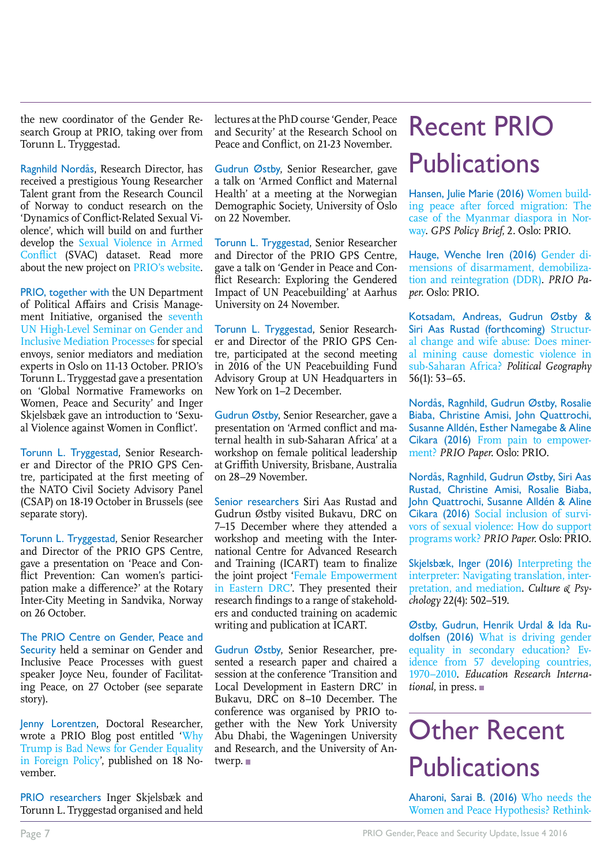the new coordinator of the Gender Research Group at PRIO, taking over from Torunn L. Tryggestad.

Ragnhild Nordås, Research Director, has received a prestigious Young Researcher Talent grant from the Research Council of Norway to conduct research on the 'Dynamics of Conflict-Related Sexual Violence', which will build on and further develop the [Sexual Violence in Armed](https://www.prio.org/Projects/Project/?x=1491) [Conflict](https://www.prio.org/Projects/Project/?x=1491) (SVAC) dataset. Read more about the new project on [PRIO's website.](https://www.prio.org/Projects/Project/?x=1733)

PRIO, together with the UN Department of Political Affairs and Crisis Management Initiative, organised the [seventh](https://www.prio.org/Events/Event/?x=8463) [UN High-Level Seminar on Gender and](https://www.prio.org/Events/Event/?x=8463) [Inclusive Mediation Processes](https://www.prio.org/Events/Event/?x=8463) for special envoys, senior mediators and mediation experts in Oslo on 11-13 October. PRIO's Torunn L. Tryggestad gave a presentation on 'Global Normative Frameworks on Women, Peace and Security' and Inger Skjelsbæk gave an introduction to 'Sexual Violence against Women in Conflict'.

Torunn L. Tryggestad, Senior Researcher and Director of the PRIO GPS Centre, participated at the first meeting of the NATO Civil Society Advisory Panel (CSAP) on 18-19 October in Brussels (see separate story).

Torunn L. Tryggestad, Senior Researcher and Director of the PRIO GPS Centre, gave a presentation on 'Peace and Conflict Prevention: Can women's participation make a difference?' at the Rotary Inter-City Meeting in Sandvika, Norway on 26 October.

The PRIO Centre on Gender, Peace and Security held a seminar on Gender and Inclusive Peace Processes with guest speaker Joyce Neu, founder of Facilitating Peace, on 27 October (see separate story).

Jenny Lorentzen, Doctoral Researcher, wrote a PRIO Blog post entitled ['Why](http://blogs.prio.org/2016/11/why-trump-is-bad-news-for-gender-equality-in-foreign-policy/) [Trump is Bad News for Gender Equality](http://blogs.prio.org/2016/11/why-trump-is-bad-news-for-gender-equality-in-foreign-policy/) [in Foreign Policy'](http://blogs.prio.org/2016/11/why-trump-is-bad-news-for-gender-equality-in-foreign-policy/), published on 18 November.

PRIO researchers Inger Skjelsbæk and Torunn L. Tryggestad organised and held lectures at the PhD course 'Gender, Peace and Security' at the Research School on Peace and Conflict, on 21-23 November.

Gudrun Østby, Senior Researcher, gave a talk on 'Armed Conflict and Maternal Health' at a meeting at the Norwegian Demographic Society, University of Oslo on 22 November.

Torunn L. Tryggestad, Senior Researcher and Director of the PRIO GPS Centre, gave a talk on 'Gender in Peace and Conflict Research: Exploring the Gendered Impact of UN Peacebuilding' at Aarhus University on 24 November.

Torunn L. Tryggestad, Senior Researcher and Director of the PRIO GPS Centre, participated at the second meeting in 2016 of the UN Peacebuilding Fund Advisory Group at UN Headquarters in New York on 1–2 December.

Gudrun Østby, Senior Researcher, gave a presentation on 'Armed conflict and maternal health in sub-Saharan Africa' at a workshop on female political leadership at Griffith University, Brisbane, Australia on 28–29 November.

Senior researchers Siri Aas Rustad and Gudrun Østby visited Bukavu, DRC on 7–15 December where they attended a workshop and meeting with the International Centre for Advanced Research and Training (ICART) team to finalize the joint project '[Female Empowerment](https://www.prio.org/Projects/Project/?x=1094) [in Eastern DRC](https://www.prio.org/Projects/Project/?x=1094)'. They presented their research findings to a range of stakeholders and conducted training on academic writing and publication at ICART.

Gudrun Østby, Senior Researcher, presented a research paper and chaired a session at the conference 'Transition and Local Development in Eastern DRC' in Bukavu, DRC on 8–10 December. The conference was organised by PRIO together with the New York University Abu Dhabi, the Wageningen University and Research, and the University of Antwerp.

## Recent PRIO **Publications**

Hansen, Julie Marie (2016) [Women build](https://www.prio.org/Publications/Publication/?x=9300 )[ing peace after forced migration: The](https://www.prio.org/Publications/Publication/?x=9300 ) [case of the Myanmar diaspora in Nor](https://www.prio.org/Publications/Publication/?x=9300 )[way.](https://www.prio.org/Publications/Publication/?x=9300 ) *GPS Policy Brief*, 2. Oslo: PRIO.

Hauge, Wenche Iren (2016) [Gender di](https://www.prio.org/Publications/Publication/?x=9250)[mensions of disarmament, demobiliza](https://www.prio.org/Publications/Publication/?x=9250)[tion and reintegration \(DDR\).](https://www.prio.org/Publications/Publication/?x=9250) *PRIO Paper*. Oslo: PRIO.

Kotsadam, Andreas, Gudrun Østby & Siri Aas Rustad (forthcoming) [Structur](http://www.sciencedirect.com/science/article/pii/S0962629816300452 )[al change and wife abuse: Does miner](http://www.sciencedirect.com/science/article/pii/S0962629816300452 )[al mining cause domestic violence in](http://www.sciencedirect.com/science/article/pii/S0962629816300452 ) [sub-Saharan Africa?](http://www.sciencedirect.com/science/article/pii/S0962629816300452 ) *Political Geography* 56(1): 53–65.

Nordås, Ragnhild, Gudrun Østby, Rosalie Biaba, Christine Amisi, John Quattrochi, Susanne Alldén, Esther Namegabe & Aline Cikara (2016) [From pain to empower](https://www.prio.org/Publications/Publication/?x=9286)[ment?](https://www.prio.org/Publications/Publication/?x=9286) *PRIO Paper*. Oslo: PRIO.

Nordås, Ragnhild, Gudrun Østby, Siri Aas Rustad, Christine Amisi, Rosalie Biaba, John Quattrochi, Susanne Alldén & Aline Cikara (2016) [Social inclusion of survi](https://www.prio.org/Publications/Publication/?x=9284 )[vors of sexual violence: How do support](https://www.prio.org/Publications/Publication/?x=9284 ) [programs work?](https://www.prio.org/Publications/Publication/?x=9284 ) *PRIO Paper*. Oslo: PRIO.

Skjelsbæk, Inger (2016) [Interpreting the](http://journals.sagepub.com/doi/abs/10.1177/1354067x16650830?rss=1 ) [interpreter: Navigating translation, inter](http://journals.sagepub.com/doi/abs/10.1177/1354067x16650830?rss=1 )[pretation, and mediation](http://journals.sagepub.com/doi/abs/10.1177/1354067x16650830?rss=1 ). *Culture & Psychology* 22(4): 502–519.

Østby, Gudrun, Henrik Urdal & Ida Rudolfsen (2016) [What is driving gender](https://www.hindawi.com/journals/edri/aip/4587194/ ) [equality in secondary education? Ev](https://www.hindawi.com/journals/edri/aip/4587194/ )idence from 57 developing countries. [1970–2010](https://www.hindawi.com/journals/edri/aip/4587194/ ). *Education Research International*, in press.

## Other Recent **Publications**

Aharoni, Sarai B. (2016) [Who needs the](http://www.tandfonline.com/doi/full/10.1080/14616742.2016.1237457  ) [Women and Peace Hypothesis? Rethink](http://www.tandfonline.com/doi/full/10.1080/14616742.2016.1237457  )-